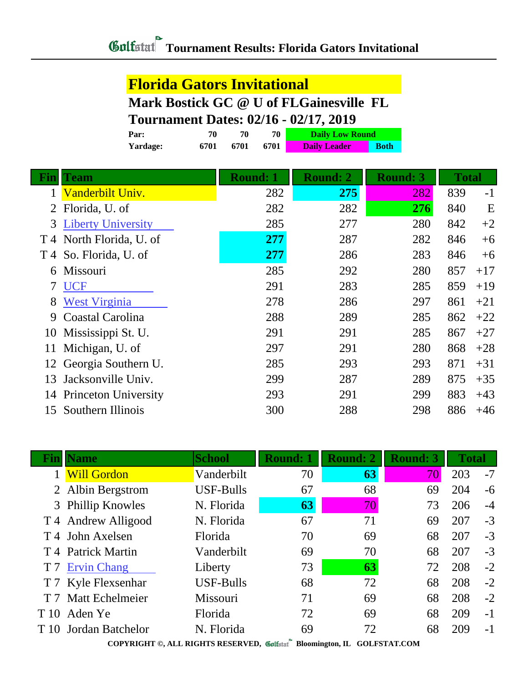### **Florida Gators Invitational**

#### **Mark Bostick GC @ U of FLGainesville FL**

## **Tournament Dates: 02/16 - 02/17, 2019**

|      | Par:                        | 70   | 70              | 70   | <b>Daily Low Round</b> |             |                 |              |       |
|------|-----------------------------|------|-----------------|------|------------------------|-------------|-----------------|--------------|-------|
|      | Yardage:                    | 6701 | 6701            | 6701 | <b>Daily Leader</b>    | <b>Both</b> |                 |              |       |
|      |                             |      |                 |      |                        |             |                 |              |       |
| Finl | <b>Team</b>                 |      | <b>Round: 1</b> |      | <b>Round: 2</b>        |             | <b>Round: 3</b> | <b>Total</b> |       |
|      | Vanderbilt Univ.            |      |                 | 282  | 275                    |             | 282             | 839          | $-1$  |
| 2    | Florida, U. of              |      |                 | 282  | 282                    |             | 276             | 840          | E     |
| 3    | <b>Liberty University</b>   |      |                 | 285  | 277                    |             | 280             | 842          | $+2$  |
| T 4  | North Florida, U. of        |      |                 | 277  | 287                    |             | 282             | 846          | $+6$  |
| T 4  | So. Florida, U. of          |      |                 | 277  | 286                    |             | 283             | 846          | $+6$  |
| 6    | Missouri                    |      |                 | 285  | 292                    |             | 280             | 857          | $+17$ |
| 7    | <b>UCF</b>                  |      |                 | 291  | 283                    |             | 285             | 859          | $+19$ |
| 8    | <b>West Virginia</b>        |      |                 | 278  | 286                    |             | 297             | 861          | $+21$ |
| 9    | Coastal Carolina            |      |                 | 288  | 289                    |             | 285             | 862          | $+22$ |
| 10   | Mississippi St. U.          |      |                 | 291  | 291                    |             | 285             | 867          | $+27$ |
| 11   | Michigan, U. of             |      |                 | 297  | 291                    |             | 280             | 868          | $+28$ |
| 12   | Georgia Southern U.         |      |                 | 285  | 293                    |             | 293             | 871          | $+31$ |
| 13   | Jacksonville Univ.          |      |                 | 299  | 287                    |             | 289             | 875          | $+35$ |
| 14   | <b>Princeton University</b> |      |                 | 293  | 291                    |             | 299             | 883          | $+43$ |
| 15   | Southern Illinois           |      |                 | 300  | 288                    |             | 298             | 886          | $+46$ |
|      |                             |      |                 |      |                        |             |                 |              |       |

| Finll          | <b>Name</b>                 | <b>School</b>               | <b>Round: 1</b> | <b>Round: 2</b> | <b>Round: 3</b> | <b>Total</b> |      |
|----------------|-----------------------------|-----------------------------|-----------------|-----------------|-----------------|--------------|------|
|                | <b>Will Gordon</b>          | Vanderbilt                  | 70              | 63              | 70              | 203          | $-7$ |
|                | 2 Albin Bergstrom           | <b>USF-Bulls</b>            | 67              | 68              | 69              | 204          | -6   |
|                | 3 Phillip Knowles           | N. Florida                  | 63              | 70              | 73              | 206          | $-4$ |
|                | T 4 Andrew Alligood         | N. Florida                  | 67              | 71              | 69              | 207          | $-3$ |
|                | T <sub>4</sub> John Axelsen | Florida                     | 70              | 69              | 68              | 207          | $-3$ |
|                | T 4 Patrick Martin          | Vanderbilt                  | 69              | 70              | 68              | 207          | $-3$ |
| T <sub>7</sub> | <b>Ervin Chang</b>          | Liberty                     | 73              | 63              | 72              | 208          | $-2$ |
|                | T 7 Kyle Flexsenhar         | <b>USF-Bulls</b>            | 68              | 72              | 68              | 208          | $-2$ |
|                | T 7 Matt Echelmeier         | Missouri                    | 71              | 69              | 68              | 208          | $-2$ |
|                | T <sub>10</sub> Aden Ye     | Florida                     | 72              | 69              | 68              | 209          | $-1$ |
|                | T 10 Jordan Batchelor       | N. Florida                  | 69              | 72              | 68              | 209          | $-1$ |
|                | $OONI/NTCIII$ $\wedge$      | <b>AFF DIGITS DESPESSED</b> |                 |                 |                 |              |      |

**COPYRIGHT ©, ALL RIGHTS RESERVED, Bloomington, IL GOLFSTAT.COM**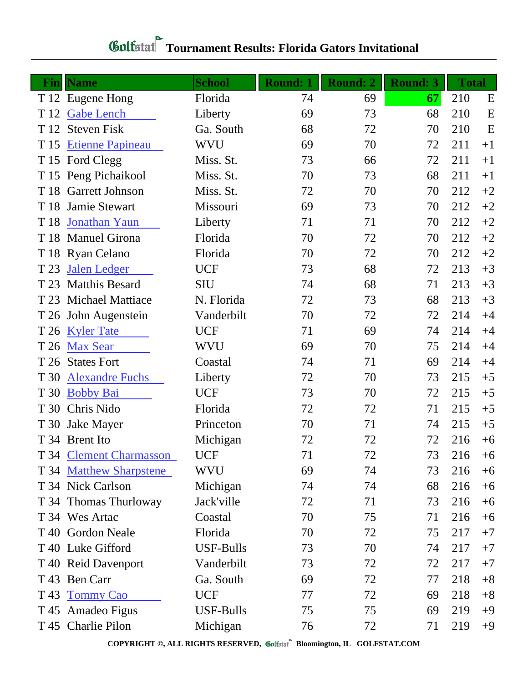# **Gulfatat** Tournament Results: Florida Gators Invitational

| Finll | <b>Name</b>             | <b>School</b> | <b>Round: 1</b> | <b>Round: 2</b> | <b>Round: 3</b> | <b>Total</b> |      |
|-------|-------------------------|---------------|-----------------|-----------------|-----------------|--------------|------|
|       | T 12 Eugene Hong        | Florida       | 74              | 69              | 67              | 210          | E    |
| T 12  | <b>Gabe Lench</b>       | Liberty       | 69              | 73              | 68              | 210          | E    |
| T 12  | <b>Steven Fisk</b>      | Ga. South     | 68              | 72              | 70              | 210          | E    |
| T 15  | <b>Etienne Papineau</b> | WVU           | 69              | 70              | 72              | 211          | $+1$ |
|       | T 15 Ford Clegg         | Miss. St.     | 73              | 66              | 72              | 211          | $+1$ |
|       | T 15 Peng Pichaikool    | Miss. St.     | 70              | 73              | 68              | 211          | $+1$ |
|       | T 18 Garrett Johnson    | Miss. St.     | 72              | 70              | 70              | 212          | $+2$ |
| T 18  | Jamie Stewart           | Missouri      | 69              | 73              | 70              | 212          | $+2$ |
| T 18  | Jonathan Yaun           | Liberty       | 71              | 71              | 70              | 212          | $+2$ |
|       | T 18 Manuel Girona      | Florida       | 70              | 72              | 70              | 212          | $+2$ |
|       | T 18 Ryan Celano        | Florida       | 70              | 72              | 70              | 212          | $+2$ |
| T 23  | <b>Jalen Ledger</b>     | <b>UCF</b>    | 73              | 68              | 72              | 213          | $+3$ |
|       | T 23 Matthis Besard     | <b>SIU</b>    | 74              | 68              | 71              | 213          | $+3$ |
| T 23  | <b>Michael Mattiace</b> | N. Florida    | 72              | 73              | 68              | 213          | $+3$ |
|       | T 26 John Augenstein    | Vanderbilt    | 70              | 72              | 72              | 214          | $+4$ |
| T 26  | <b>Kyler Tate</b>       | <b>UCF</b>    | 71              | 69              | 74              | 214          | $+4$ |
| T 26  | <b>Max Sear</b>         | <b>WVU</b>    | 69              | 70              | 75              | 214          | $+4$ |
| T 26  | <b>States Fort</b>      | Coastal       | 74              | 71              | 69              | 214          | $+4$ |
| T 30  | <b>Alexandre Fuchs</b>  | Liberty       | 72              | 70              | 73              | 215          | $+5$ |
| T 30  | <b>Bobby Bai</b>        | <b>UCF</b>    | 73              | 70              | 72              | 215          | $+5$ |
|       | T 30 Chris Nido         | Florida       | 72              | 72              | 71              | 215          | $+5$ |
| T 30  | <b>Jake Mayer</b>       | Princeton     | 70              | 71              | 74              | 215          | $+5$ |
|       | T 34 Brent Ito          | Michigan      | 72              | 72              | 72              | 216          | $+6$ |
|       | T 34 Clement Charmasson | <b>UCF</b>    | 71              | 72              | 73              | 216          | $+6$ |
|       | T 34 Matthew Sharpstene | <b>WVU</b>    | 69              | 74              | 73              | 216          | $+6$ |
|       | T 34 Nick Carlson       | Michigan      | 74              | 74              | 68              | 216          | $+6$ |
|       | T 34 Thomas Thurloway   | Jack'ville    | 72              | 71              | 73              | 216          | $+6$ |
|       | T 34 Wes Artac          | Coastal       | 70              | 75              | 71              | 216          | $+6$ |
|       | T 40 Gordon Neale       | Florida       | 70              | 72              | 75              | 217          | $+7$ |
|       | T 40 Luke Gifford       | USF-Bulls     | 73              | 70              | 74              | 217          | $+7$ |
|       | T 40 Reid Davenport     | Vanderbilt    | 73              | 72              | 72              | 217          | $+7$ |
|       | T 43 Ben Carr           | Ga. South     | 69              | 72              | 77              | 218          | $+8$ |
| T 43  | <b>Tommy Cao</b>        | <b>UCF</b>    | 77              | 72              | 69              | 218          | $+8$ |
|       | T 45 Amadeo Figus       | USF-Bulls     | 75              | 75              | 69              | 219          | $+9$ |
|       | T 45 Charlie Pilon      | Michigan      | 76              | 72              | 71              | 219          | $+9$ |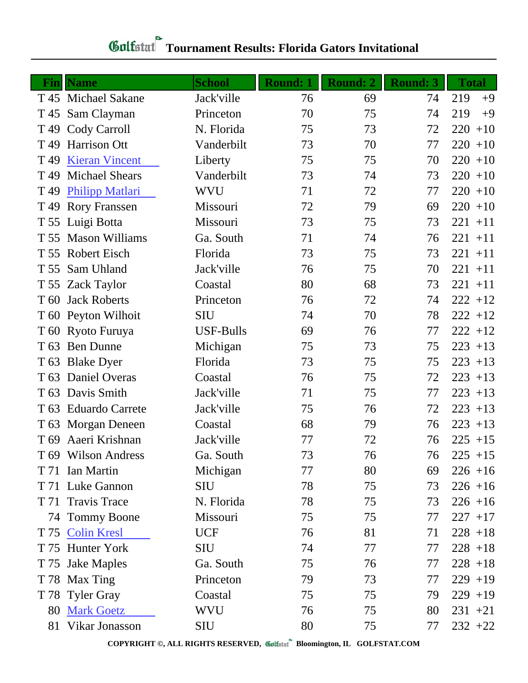| $\mathbf{Fin}$  | <b>Name</b>            | <b>School</b>    | <b>Round: 1</b> | <b>Round: 2</b> | <b>Round: 3</b> | <b>Total</b> |
|-----------------|------------------------|------------------|-----------------|-----------------|-----------------|--------------|
|                 | T 45 Michael Sakane    | Jack'ville       | 76              | 69              | 74              | 219<br>$+9$  |
| T 45            | Sam Clayman            | Princeton        | 70              | 75              | 74              | 219<br>$+9$  |
| T <sub>49</sub> | Cody Carroll           | N. Florida       | 75              | 73              | 72              | $220 + 10$   |
| T <sub>49</sub> | <b>Harrison Ott</b>    | Vanderbilt       | 73              | 70              | 77              | $220 + 10$   |
| T <sub>49</sub> | <b>Kieran Vincent</b>  | Liberty          | 75              | 75              | 70              | $220 + 10$   |
| T <sub>49</sub> | <b>Michael Shears</b>  | Vanderbilt       | 73              | 74              | 73              | $220 + 10$   |
| T <sub>49</sub> | <b>Philipp Matlari</b> | <b>WVU</b>       | 71              | 72              | 77              | $220 + 10$   |
|                 | T 49 Rory Franssen     | Missouri         | 72              | 79              | 69              | $220 + 10$   |
|                 | T 55 Luigi Botta       | Missouri         | 73              | 75              | 73              | $221 + 11$   |
|                 | T 55 Mason Williams    | Ga. South        | 71              | 74              | 76              | $221 + 11$   |
| T 55            | <b>Robert Eisch</b>    | Florida          | 73              | 75              | 73              | $221 + 11$   |
| T 55            | Sam Uhland             | Jack'ville       | 76              | 75              | 70              | $221 + 11$   |
|                 | T 55 Zack Taylor       | Coastal          | 80              | 68              | 73              | $221 + 11$   |
| T 60            | <b>Jack Roberts</b>    | Princeton        | 76              | 72              | 74              | $222 + 12$   |
|                 | T 60 Peyton Wilhoit    | <b>SIU</b>       | 74              | 70              | 78              | $222 + 12$   |
|                 | T 60 Ryoto Furuya      | <b>USF-Bulls</b> | 69              | 76              | 77              | $222 + 12$   |
| T <sub>63</sub> | <b>Ben Dunne</b>       | Michigan         | 75              | 73              | 75              | $223 + 13$   |
|                 | T 63 Blake Dyer        | Florida          | 73              | 75              | 75              | $223 + 13$   |
| T <sub>63</sub> | Daniel Overas          | Coastal          | 76              | 75              | 72              | $223 + 13$   |
|                 | T 63 Davis Smith       | Jack'ville       | 71              | 75              | 77              | $223 + 13$   |
| T 63            | <b>Eduardo Carrete</b> | Jack'ville       | 75              | 76              | 72              | $223 + 13$   |
|                 | T 63 Morgan Deneen     | Coastal          | 68              | 79              | 76              | $223 + 13$   |
| T 69            | Aaeri Krishnan         | Jack'ville       | 77              | 72              | 76              | $225 + 15$   |
|                 | T 69 Wilson Andress    | Ga. South        | 73              | 76              | 76              | $225 + 15$   |
|                 | T 71 Ian Martin        | Michigan         | 77              | 80              | 69              | $226 + 16$   |
|                 | T 71 Luke Gannon       | <b>SIU</b>       | 78              | 75              | 73              | $226 + 16$   |
|                 | T 71 Travis Trace      | N. Florida       | 78              | 75              | 73              | $226 + 16$   |
|                 | 74 Tommy Boone         | Missouri         | 75              | 75              | 77              | $227 + 17$   |
|                 | T 75 Colin Kresl       | <b>UCF</b>       | 76              | 81              | 71              | $228 + 18$   |
|                 | T 75 Hunter York       | <b>SIU</b>       | 74              | 77              | 77              | $228 + 18$   |
|                 | T 75 Jake Maples       | Ga. South        | 75              | 76              | 77              | $228 + 18$   |
|                 | T 78 Max Ting          | Princeton        | 79              | 73              | 77              | $229 + 19$   |
|                 | T 78 Tyler Gray        | Coastal          | 75              | 75              | 79              | $229 + 19$   |
| 80              | <b>Mark Goetz</b>      | <b>WVU</b>       | 76              | 75              | 80              | $231 + 21$   |
|                 | 81 Vikar Jonasson      | <b>SIU</b>       | 80              | 75              | 77              | $232 +22$    |

**COPYRIGHT ©, ALL RIGHTS RESERVED, Bloomington, IL GOLFSTAT.COM**